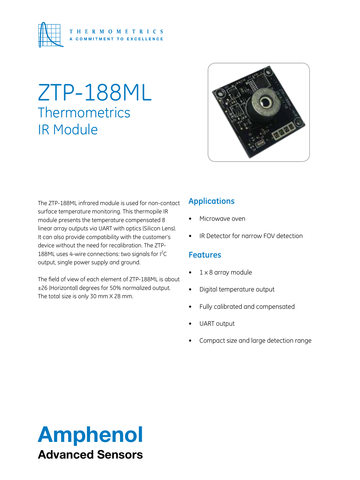

## ZTP-188ML **Thermometrics** IR Module



The ZTP-188ML infrared module is used for non-contact surface temperature monitoring. This thermopile IR module presents the temperature compensated 8 linear array outputs via UART with optics (Silicon Lens). It can also provide compatibility with the customer's device without the need for recalibration. The ZTP-188ML uses 4-wire connections: two signals for l<sup>2</sup>C output, single power supply and ground.

The field of view of each element of ZTP-188ML is about ±26 (Horizontal) degrees for 50% normalized output. The total size is only 30 mm X 28 mm.

#### **Applications**

- Microwave oven
- IR Detector for narrow FOV detection

#### **Features**

- 1 x 8 array module
- • Digital temperature output
- Fully calibrated and compensated
- **UART** output
- Compact size and large detection range

## Amphenol Advanced Sensors